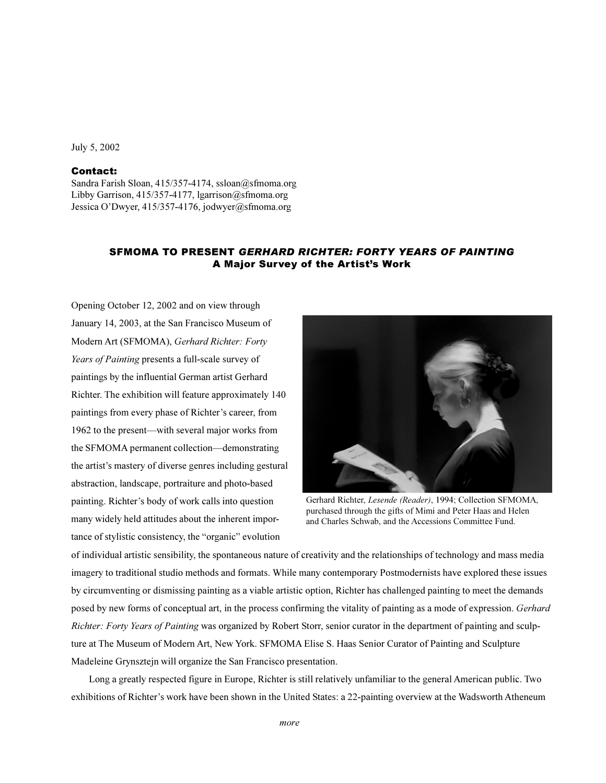### July 5, 2002

# **Contact:**

Sandra Farish Sloan, 415/357-4174, ssloan@sfmoma.org Libby Garrison, 415/357-4177, lgarrison@sfmoma.org Jessica O'Dwyer, 415/357-4176, jodwyer@sfmoma.org

# **SFMOMA TO PRESENT GERHARD RICHTER: FORTY YEARS OF PAINTING** A Major Survey of the Artist's Work

Opening October 12, 2002 and on view through January 14, 2003, at the San Francisco Museum of Modern Art (SFMOMA), Gerhard Richter: Forty Years of Painting presents a full-scale survey of paintings by the influential German artist Gerhard Richter. The exhibition will feature approximately 140 paintings from every phase of Richter's career, from 1962 to the present—with several major works from the SFMOMA permanent collection—demonstrating the artist's mastery of diverse genres including gestural abstraction, landscape, portraiture and photo-based painting. Richter's body of work calls into question many widely held attitudes about the inherent importance of stylistic consistency, the "organic" evolution



Gerhard Richter, Lesende (Reader), 1994; Collection SFMOMA, purchased through the gifts of Mimi and Peter Haas and Helen and Charles Schwab, and the Accessions Committee Fund.

of individual artistic sensibility, the spontaneous nature of creativity and the relationships of technology and mass media imagery to traditional studio methods and formats. While many contemporary Postmodernists have explored these issues by circumventing or dismissing painting as a viable artistic option, Richter has challenged painting to meet the demands posed by new forms of conceptual art, in the process confirming the vitality of painting as a mode of expression. Gerhard Richter: Forty Years of Painting was organized by Robert Storr, senior curator in the department of painting and sculpture at The Museum of Modern Art, New York. SFMOMA Elise S. Haas Senior Curator of Painting and Sculpture Madeleine Grynsztejn will organize the San Francisco presentation.

Long a greatly respected figure in Europe, Richter is still relatively unfamiliar to the general American public. Two exhibitions of Richter's work have been shown in the United States: a 22-painting overview at the Wadsworth Atheneum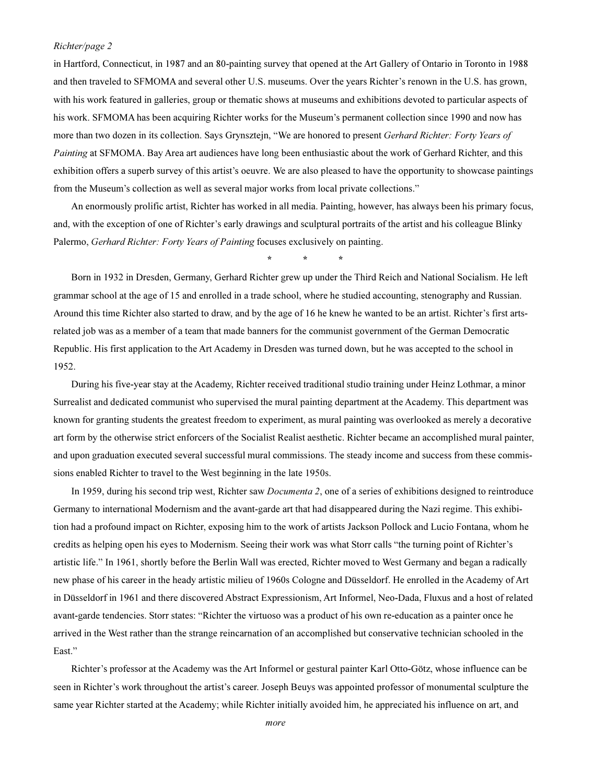#### Richter/page 2

in Hartford, Connecticut, in 1987 and an 80-painting survey that opened at the Art Gallery of Ontario in Toronto in 1988 and then traveled to SFMOMA and several other U.S. museums. Over the years Richter's renown in the U.S. has grown, with his work featured in galleries, group or thematic shows at museums and exhibitions devoted to particular aspects of his work. SFMOMA has been acquiring Richter works for the Museum's permanent collection since 1990 and now has more than two dozen in its collection. Says Grynsztejn, "We are honored to present Gerhard Richter: Forty Years of Painting at SFMOMA. Bay Area art audiences have long been enthusiastic about the work of Gerhard Richter, and this exhibition offers a superb survey of this artist's oeuvre. We are also pleased to have the opportunity to showcase paintings from the Museum's collection as well as several major works from local private collections."

An enormously prolific artist, Richter has worked in all media. Painting, however, has always been his primary focus, and, with the exception of one of Richter's early drawings and sculptural portraits of the artist and his colleague Blinky Palermo, *Gerhard Richter: Forty Years of Painting* focuses exclusively on painting.

Born in 1932 in Dresden, Germany, Gerhard Richter grew up under the Third Reich and National Socialism. He left grammar school at the age of 15 and enrolled in a trade school, where he studied accounting, stenography and Russian. Around this time Richter also started to draw, and by the age of 16 he knew he wanted to be an artist. Richter's first artsrelated job was as a member of a team that made banners for the communist government of the German Democratic Republic. His first application to the Art Academy in Dresden was turned down, but he was accepted to the school in 1952.

During his five-year stay at the Academy, Richter received traditional studio training under Heinz Lothmar, a minor Surrealist and dedicated communist who supervised the mural painting department at the Academy. This department was known for granting students the greatest freedom to experiment, as mural painting was overlooked as merely a decorative art form by the otherwise strict enforcers of the Socialist Realist aesthetic. Richter became an accomplished mural painter, and upon graduation executed several successful mural commissions. The steady income and success from these commissions enabled Richter to travel to the West beginning in the late 1950s.

In 1959, during his second trip west, Richter saw *Documenta 2*, one of a series of exhibitions designed to reintroduce Germany to international Modernism and the avant-garde art that had disappeared during the Nazi regime. This exhibition had a profound impact on Richter, exposing him to the work of artists Jackson Pollock and Lucio Fontana, whom he credits as helping open his eyes to Modernism. Seeing their work was what Storr calls "the turning point of Richter's artistic life." In 1961, shortly before the Berlin Wall was erected, Richter moved to West Germany and began a radically new phase of his career in the heady artistic milieu of 1960s Cologne and Düsseldorf. He enrolled in the Academy of Art in Düsseldorf in 1961 and there discovered Abstract Expressionism, Art Informel, Neo-Dada, Fluxus and a host of related avant-garde tendencies. Storr states: "Richter the virtuoso was a product of his own re-education as a painter once he arrived in the West rather than the strange reincarnation of an accomplished but conservative technician schooled in the East."

Richter's professor at the Academy was the Art Informel or gestural painter Karl Otto-Götz, whose influence can be seen in Richter's work throughout the artist's career. Joseph Beuys was appointed professor of monumental sculpture the same year Richter started at the Academy; while Richter initially avoided him, he appreciated his influence on art, and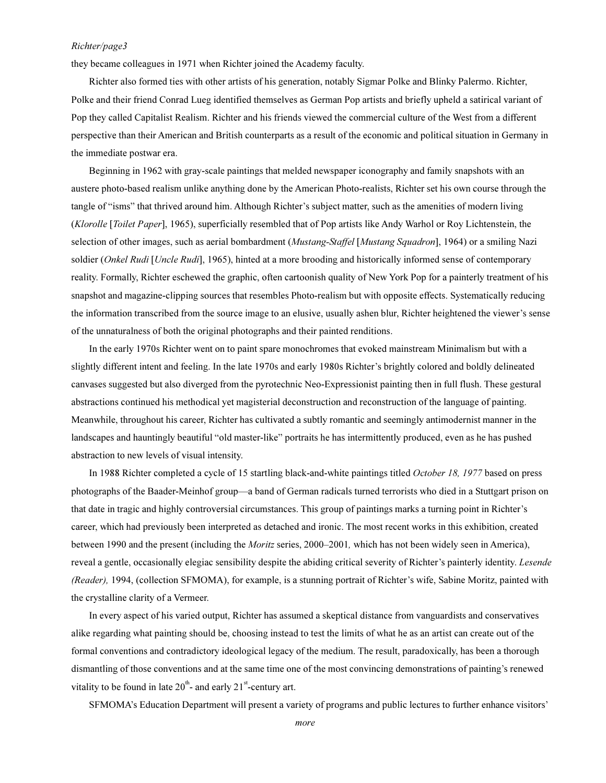#### Richter/page3

they became colleagues in 1971 when Richter joined the Academy faculty.

Richter also formed ties with other artists of his generation, notably Sigmar Polke and Blinky Palermo. Richter, Polke and their friend Conrad Lueg identified themselves as German Pop artists and briefly upheld a satirical variant of Pop they called Capitalist Realism. Richter and his friends viewed the commercial culture of the West from a different perspective than their American and British counterparts as a result of the economic and political situation in Germany in the immediate postwar era.

Beginning in 1962 with gray-scale paintings that melded newspaper iconography and family snapshots with an austere photo-based realism unlike anything done by the American Photo-realists, Richter set his own course through the tangle of "isms" that thrived around him. Although Richter's subject matter, such as the amenities of modern living (Klorolle [Toilet Paper], 1965), superficially resembled that of Pop artists like Andy Warhol or Roy Lichtenstein, the selection of other images, such as aerial bombardment (Mustang-Staffel [Mustang Squadron], 1964) or a smiling Nazi soldier (Onkel Rudi [Uncle Rudi], 1965), hinted at a more brooding and historically informed sense of contemporary reality. Formally, Richter eschewed the graphic, often cartoonish quality of New York Pop for a painterly treatment of his snapshot and magazine-clipping sources that resembles Photo-realism but with opposite effects. Systematically reducing the information transcribed from the source image to an elusive, usually ashen blur, Richter heightened the viewer's sense of the unnaturalness of both the original photographs and their painted renditions.

In the early 1970s Richter went on to paint spare monochromes that evoked mainstream Minimalism but with a slightly different intent and feeling. In the late 1970s and early 1980s Richter's brightly colored and boldly delineated canvases suggested but also diverged from the pyrotechnic Neo-Expressionist painting then in full flush. These gestural abstractions continued his methodical yet magisterial deconstruction and reconstruction of the language of painting. Meanwhile, throughout his career, Richter has cultivated a subtly romantic and seemingly antimodernist manner in the landscapes and hauntingly beautiful "old master-like" portraits he has intermittently produced, even as he has pushed abstraction to new levels of visual intensity.

In 1988 Richter completed a cycle of 15 startling black-and-white paintings titled October 18, 1977 based on press photographs of the Baader-Meinhof group—a band of German radicals turned terrorists who died in a Stuttgart prison on that date in tragic and highly controversial circumstances. This group of paintings marks a turning point in Richter's career, which had previously been interpreted as detached and ironic. The most recent works in this exhibition, created between 1990 and the present (including the *Moritz* series, 2000–2001, which has not been widely seen in America), reveal a gentle, occasionally elegiac sensibility despite the abiding critical severity of Richter's painterly identity. Lesende (Reader), 1994, (collection SFMOMA), for example, is a stunning portrait of Richter's wife, Sabine Moritz, painted with the crystalline clarity of a Vermeer.

In every aspect of his varied output, Richter has assumed a skeptical distance from vanguardists and conservatives alike regarding what painting should be, choosing instead to test the limits of what he as an artist can create out of the formal conventions and contradictory ideological legacy of the medium. The result, paradoxically, has been a thorough dismantling of those conventions and at the same time one of the most convincing demonstrations of painting's renewed vitality to be found in late  $20^{th}$ - and early  $21^{st}$ -century art.

SFMOMA's Education Department will present a variety of programs and public lectures to further enhance visitors'